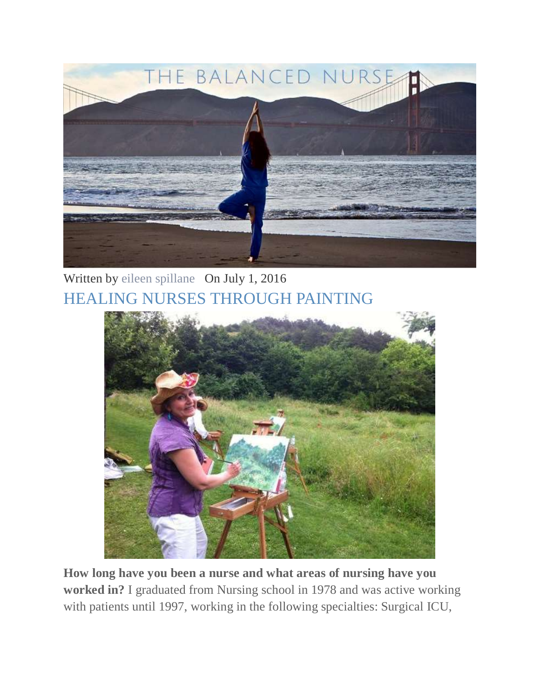

Written by [eileen spillane](http://www.thebalancednurse.com/the-balanced-nurse-blog/?author=52ae604fe4b04f67f91b2de0) On July 1, 2016 [HEALING NURSES THROUGH PAINTING](http://www.thebalancednurse.com/the-balanced-nurse-blog/healing-nurses-through-painting)



**How long have you been a nurse and what areas of nursing have you worked in?** I graduated from Nursing school in 1978 and was active working with patients until 1997, working in the following specialties: Surgical ICU,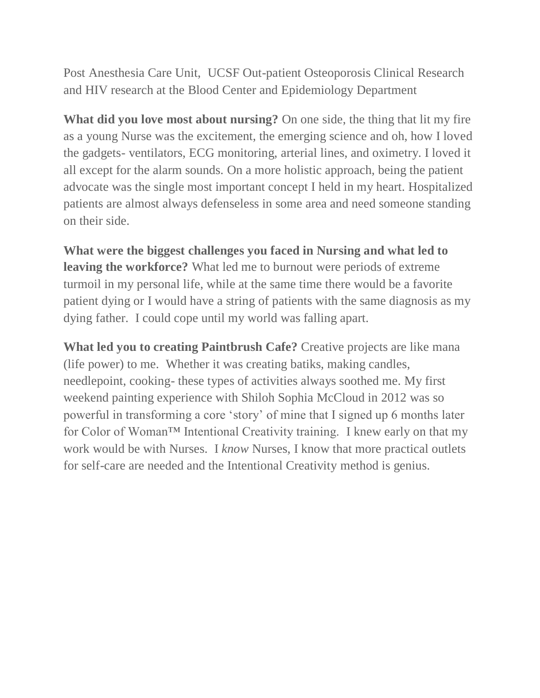Post Anesthesia Care Unit, UCSF Out-patient Osteoporosis Clinical Research and HIV research at the Blood Center and Epidemiology Department

**What did you love most about nursing?** On one side, the thing that lit my fire as a young Nurse was the excitement, the emerging science and oh, how I loved the gadgets- ventilators, ECG monitoring, arterial lines, and oximetry. I loved it all except for the alarm sounds. On a more holistic approach, being the patient advocate was the single most important concept I held in my heart. Hospitalized patients are almost always defenseless in some area and need someone standing on their side.

**What were the biggest challenges you faced in Nursing and what led to leaving the workforce?** What led me to burnout were periods of extreme turmoil in my personal life, while at the same time there would be a favorite patient dying or I would have a string of patients with the same diagnosis as my dying father. I could cope until my world was falling apart.

**What led you to creating Paintbrush Cafe?** Creative projects are like mana (life power) to me. Whether it was creating batiks, making candles, needlepoint, cooking- these types of activities always soothed me. My first weekend painting experience with Shiloh Sophia McCloud in 2012 was so powerful in transforming a core 'story' of mine that I signed up 6 months later for Color of Woman™ Intentional Creativity training. I knew early on that my work would be with Nurses. I *know* Nurses, I know that more practical outlets for self-care are needed and the Intentional Creativity method is genius.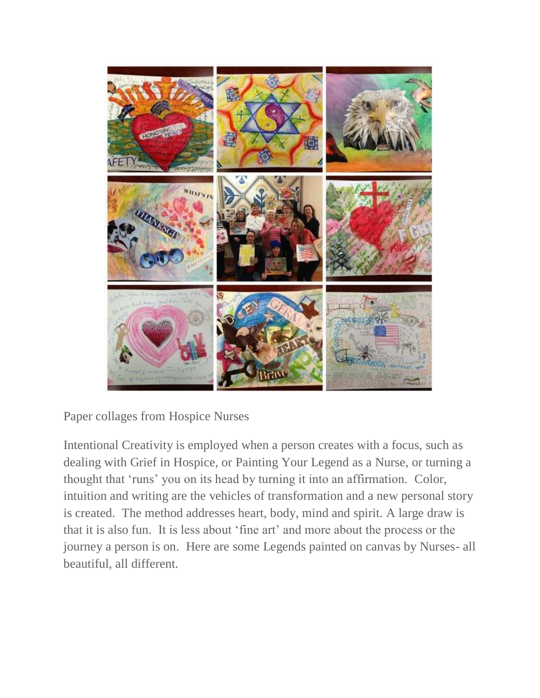

Paper collages from Hospice Nurses

Intentional Creativity is employed when a person creates with a focus, such as dealing with Grief in Hospice, or Painting Your Legend as a Nurse, or turning a thought that 'runs' you on its head by turning it into an affirmation. Color, intuition and writing are the vehicles of transformation and a new personal story is created. The method addresses heart, body, mind and spirit. A large draw is that it is also fun. It is less about 'fine art' and more about the process or the journey a person is on. Here are some Legends painted on canvas by Nurses- all beautiful, all different.